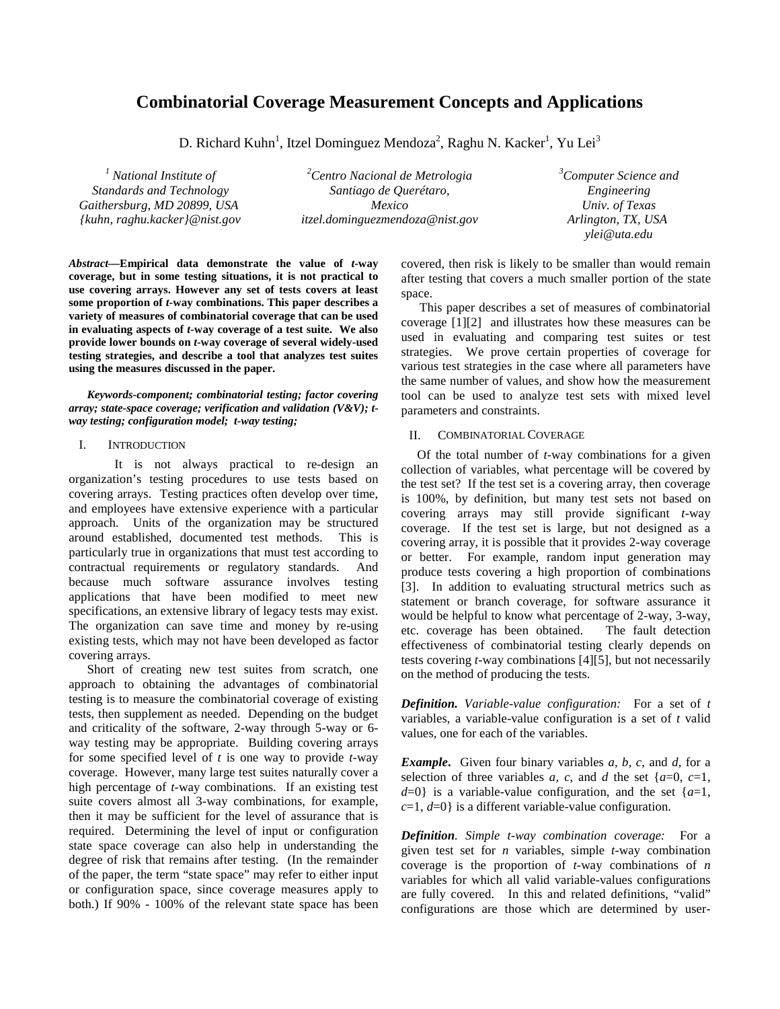# **Combinatorial Coverage Measurement Concepts and Applications**

D. Richard Kuhn<sup>1</sup>, Itzel Dominguez Mendoza<sup>2</sup>, Raghu N. Kacker<sup>1</sup>, Yu Lei<sup>3</sup>

<sup>1</sup> National Institute of <sup>2</sup>

*Standards and Technology* Santiago de Querétaro, Sensident Bagineering **Santiago de Querétaro,** Sensident Bagineering  *Gaithersburg, MD 20899, USA Mexico Univ. of Texas Centro Nacional de Metrologia <sup>3</sup>* Santiago de Querétaro,  *{kuhn, raghu.kacker}@nist.gov itzel.dominguezmendoza@nist.gov Arlington, TX, USA* 

 *Computer Science and*  Univ. of Texas Arlington, TX, USA *ylei@uta.edu* 

 *Abstract***—Empirical data demonstrate the value of** *t***-way coverage, but in some testing situations, it is not practical to use covering arrays. However any set of tests covers at least some proportion of** *t***-way combinations. This paper describes a variety of measures of combinatorial coverage that can be used in evaluating aspects of** *t***-way coverage of a test suite. We also provide lower bounds on** *t***-way coverage of several widely-used testing strategies, and describe a tool that analyzes test suites using the measures discussed in the paper.** 

 *Keywords-component; combinatorial testing; factor covering array; state-space coverage; verification and validation (V&V); t- way testing; configuration model; t-way testing;* 

#### I. INTRODUCTION

 It is not always practical to re-design an organization's testing procedures to use tests based on covering arrays. Testing practices often develop over time, and employees have extensive experience with a particular approach. Units of the organization may be structured around established, documented test methods. This is particularly true in organizations that must test according to contractual requirements or regulatory standards. And because much software assurance involves testing applications that have been modified to meet new specifications, an extensive library of legacy tests may exist. The organization can save time and money by re-using existing tests, which may not have been developed as factor covering arrays.

 Short of creating new test suites from scratch, one approach to obtaining the advantages of combinatorial testing is to measure the combinatorial coverage of existing tests, then supplement as needed. Depending on the budget and criticality of the software, 2-way through 5-way or 6 way testing may be appropriate. Building covering arrays for some specified level of *t* is one way to provide *t*-way coverage. However, many large test suites naturally cover a high percentage of *t*-way combinations. If an existing test suite covers almost all 3-way combinations, for example, then it may be sufficient for the level of assurance that is required. Determining the level of input or configuration state space coverage can also help in understanding the degree of risk that remains after testing. (In the remainder of the paper, the term "state space" may refer to either input or configuration space, since coverage measures apply to both.) If 90% - 100% of the relevant state space has been

 covered, then risk is likely to be smaller than would remain after testing that covers a much smaller portion of the state space. space. This paper describes a set of measures of combinatorial

 coverage [1][2] and illustrates how these measures can be used in evaluating and comparing test suites or test strategies. We prove certain properties of coverage for various test strategies in the case where all parameters have the same number of values, and show how the measurement tool can be used to analyze test sets with mixed level parameters and constraints.

#### II. COMBINATORIAL COVERAGE

 collection of variables, what percentage will be covered by the test set? If the test set is a covering array, then coverage is 100%, by definition, but many test sets not based on covering arrays may still provide significant *t*-way coverage. If the test set is large, but not designed as a covering array, it is possible that it provides 2-way coverage or better. For example, random input generation may produce tests covering a high proportion of combinations [3]. In addition to evaluating structural metrics such as statement or branch coverage, for software assurance it would be helpful to know what percentage of 2-way, 3-way, etc. coverage has been obtained. The fault detection effectiveness of combinatorial testing clearly depends on tests covering *t*-way combinations [4][5], but not necessarily on the method of producing the tests. Of the total number of *t*-way combinations for a given

 *Definition. Variable-value configuration:* For a set of *t*  variables, a variable-value configuration is a set of *t* valid values, one for each of the variables.

 *Example***.** Given four binary variables *a, b, c*, and *d*, for a selection of three variables *a*, *c*, and *d* the set  $\{a=0, c=1,$  *d*=0} is a variable-value configuration, and the set {*a*=1, *c*=1, *d*=0} is a different variable-value configuration.

 *Definition. Simple t-way combination coverage:* For a given test set for *n* variables, simple *t*-way combination coverage is the proportion of *t*-way combinations of *n*  variables for which all valid variable-values configurations are fully covered. In this and related definitions, "valid" configurations are those which are determined by user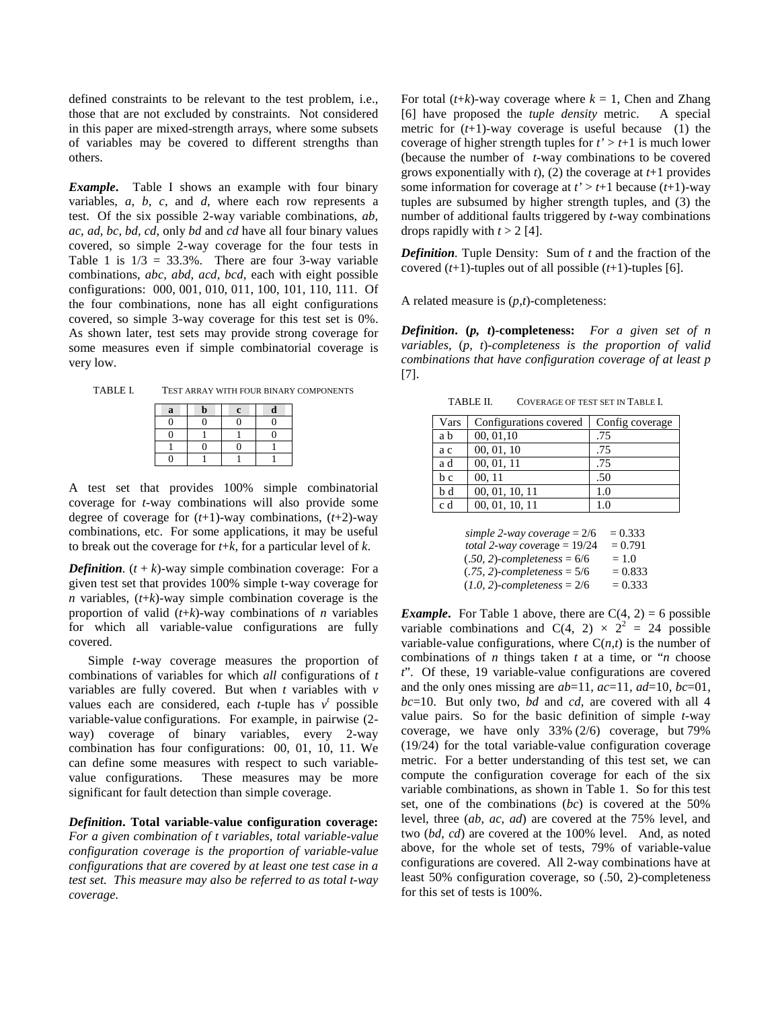defined constraints to be relevant to the test problem, i.e., those that are not excluded by constraints. Not considered in this paper are mixed-strength arrays, where some subsets of variables may be covered to different strengths than others.

 *Example***.** Table I shows an example with four binary variables, *a*, *b*, *c*, and *d*, where each row represents a test. Of the six possible 2-way variable combinations, *ab, ac, ad, bc, bd, cd*, only *bd* and *cd* have all four binary values covered, so simple 2-way coverage for the four tests in Table 1 is  $1/3 = 33.3\%$ . There are four 3-way variable  combinations, *abc, abd, acd, bcd*, each with eight possible configurations: 000, 001, 010, 011, 100, 101, 110, 111. Of the four combinations, none has all eight configurations covered, so simple 3-way coverage for this test set is 0%. As shown later, test sets may provide strong coverage for some measures even if simple combinatorial coverage is very low.

| TABLE L | TEST ARRAY WITH FOUR BINARY COMPONENTS |  |
|---------|----------------------------------------|--|
|---------|----------------------------------------|--|

| a | r |  |
|---|---|--|
|   |   |  |
|   |   |  |
|   |   |  |
|   |   |  |

 A test set that provides 100% simple combinatorial coverage for *t*-way combinations will also provide some degree of coverage for (*t*+1)-way combinations, (*t*+2)-way combinations, etc. For some applications, it may be useful to break out the coverage for *t*+*k*, for a particular level of *k*.

*Definition.*  $(t + k)$ -way simple combination coverage: For a given test set that provides 100% simple t-way coverage for *n* variables, (*t*+*k*)-way simple combination coverage is the proportion of valid (*t*+*k*)-way combinations of *n* variables for which all variable-value configurations are fully covered.

 combinations of variables for which *all* configurations of *t*  variables are fully covered. But when *t* variables with *v*  values each are considered, each  $t$ -tuple has  $v^t$  possible variable-value configurations. For example, in pairwise (2 way) coverage of binary variables, every 2-way combination has four configurations: 00, 01, 10, 11. We can define some measures with respect to such variablevalue configurations. significant for fault detection than simple coverage. Simple *t*-way coverage measures the proportion of These measures may be more

 *Definition***. Total variable-value configuration coverage:**   *For a given combination of t variables, total variable-value configuration coverage is the proportion of variable-value configurations that are covered by at least one test case in a test set. This measure may also be referred to as total t-way coverage.* 

For total  $(t+k)$ -way coverage where  $k = 1$ , Chen and Zhang [6] have proposed the *tuple density* metric. A special metric for (*t*+1)-way coverage is useful because (1) the coverage of higher strength tuples for  $t' > t+1$  is much lower (because the number of *t*-way combinations to be covered grows exponentially with *t*), (2) the coverage at *t*+1 provides some information for coverage at  $t' > t+1$  because  $(t+1)$ -way tuples are subsumed by higher strength tuples, and (3) the number of additional faults triggered by *t*-way combinations drops rapidly with  $t > 2$  [4].

 *Definition.* Tuple Density: Sum of *t* and the fraction of the covered (*t*+1)-tuples out of all possible (*t*+1)-tuples [6].

A related measure is (*p*,*t*)-completeness:

 *Definition***. (***p, t***)-completeness:** *For a given set of n variables,* (*p, t*)*-completeness is the proportion of valid combinations that have configuration coverage of at least p*  [7].

**TABLE II** COVERAGE OF TEST SET IN TABLE I.

| Vars | Configurations covered | Config coverage |
|------|------------------------|-----------------|
| a b  | 00, 01, 10             | .75             |
| a c  | 00, 01, 10             | .75             |
| a d  | 00, 01, 11             | .75             |
| b c  | 00, 11                 | .50             |
| b d  | 00, 01, 10, 11         | 1.0             |
| c d  | 00, 01, 10, 11         | 1.0             |

| simple 2-way coverage = $2/6$                 | $= 0.333$ |
|-----------------------------------------------|-----------|
| <i>total</i> 2- <i>way coverage</i> = $19/24$ | $= 0.791$ |
| $(.50, 2)$ -completeness = 6/6                | $= 1.0$   |
| $(.75, 2)$ -completeness = 5/6                | $= 0.833$ |
| $(1.0, 2)$ -completeness = 2/6                | $= 0.333$ |

*Example*. For Table 1 above, there are  $C(4, 2) = 6$  possible variable combinations and C(4, 2)  $\times$  2<sup>2</sup> = 24 possible variable-value configurations, where  $C(n,t)$  is the number of combinations of *n* things taken *t* at a time, or "*n* choose *t*". Of these, 19 variable-value configurations are covered and the only ones missing are *ab*=11, *ac*=11, *ad*=10, *bc*=01, *bc*=10. But only two, *bd* and *cd*, are covered with all 4 value pairs. So for the basic definition of simple *t*-way coverage, we have only 33% (2/6) coverage, but 79% (19/24) for the total variable-value configuration coverage metric. For a better understanding of this test set, we can compute the configuration coverage for each of the six variable combinations, as shown in Table 1. So for this test set, one of the combinations (*bc*) is covered at the 50% level, three (*ab*, *ac*, *ad*) are covered at the 75% level, and two (*bd*, *cd*) are covered at the 100% level. And, as noted above, for the whole set of tests, 79% of variable-value configurations are covered. All 2-way combinations have at least 50% configuration coverage, so (.50, 2)-completeness for this set of tests is 100%.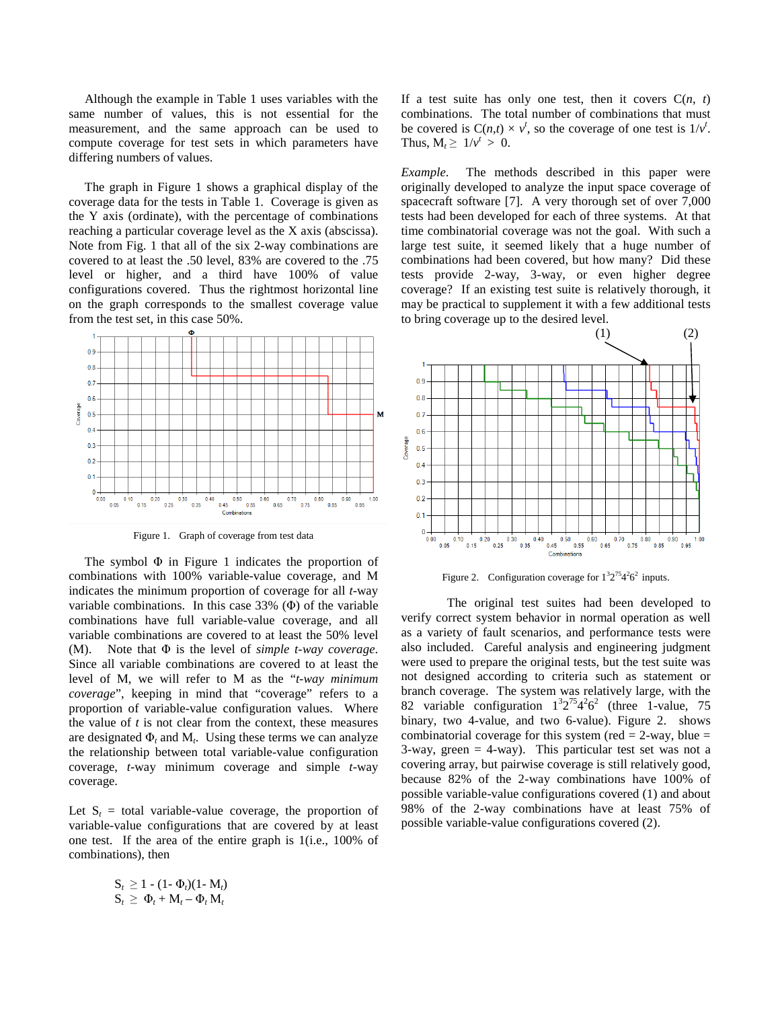same number of values, this is not essential for the measurement, and the same approach can be used to compute coverage for test sets in which parameters have differing numbers of values. Although the example in Table 1 uses variables with the

 coverage data for the tests in Table 1. Coverage is given as the Y axis (ordinate), with the percentage of combinations reaching a particular coverage level as the X axis (abscissa). Note from Fig. 1 that all of the six 2-way combinations are covered to at least the .50 level, 83% are covered to the .75 level or higher, and a third have 100% of value configurations covered. Thus the rightmost horizontal line on the graph corresponds to the smallest coverage value from the test set, in this case 50%. The graph in Figure 1 shows a graphical display of the



Figure 1. Graph of coverage from test data

 combinations with 100% variable-value coverage, and Μ indicates the minimum proportion of coverage for all *t*-way variable combinations. In this case 33% (Φ) of the variable combinations have full variable-value coverage, and all variable combinations are covered to at least the 50% level  $(M)$ . Since all variable combinations are covered to at least the level of Μ, we will refer to Μ as the "*t-way minimum coverage*", keeping in mind that "coverage" refers to a proportion of variable-value configuration values. Where the value of *t* is not clear from the context, these measures are designated Φ*t* and Μ*t*. Using these terms we can analyze the relationship between total variable-value configuration coverage, *t*-way minimum coverage and simple *t*-way coverage. coverage. Let S*t* = total variable-value coverage, the proportion of The symbol  $\Phi$  in Figure 1 indicates the proportion of (Μ). Note that Φ is the level of *simple t-way coverage*.

 variable-value configurations that are covered by at least one test. If the area of the entire graph is 1(i.e., 100% of combinations), then

> $S_t \geq 1 - (1 - \Phi_t)(1 - M_t)$  $S_t \geq \Phi_t + M_t - \Phi_t M_t$

If a test suite has only one test, then it covers  $C(n, t)$  combinations. The total number of combinations that must be covered is  $C(n,t) \times v^t$ , so the coverage of one test is  $1/v^t$ .<br>Thus,  $M_t \ge 1/v^t > 0$ . Thus,  $M_t \ge 1/v^t > 0$ .

*Example.*  originally developed to analyze the input space coverage of spacecraft software [7]. A very thorough set of over 7,000 tests had been developed for each of three systems. At that time combinatorial coverage was not the goal. With such a large test suite, it seemed likely that a huge number of combinations had been covered, but how many? Did these tests provide 2-way, 3-way, or even higher degree coverage? If an existing test suite is relatively thorough, it may be practical to supplement it with a few additional tests to bring coverage up to the desired level. The methods described in this paper were



Figure 2. Configuration coverage for  $1<sup>3</sup>2<sup>75</sup>4<sup>2</sup>6<sup>2</sup>$  inputs.

 verify correct system behavior in normal operation as well as a variety of fault scenarios, and performance tests were also included. Careful analysis and engineering judgment were used to prepare the original tests, but the test suite was not designed according to criteria such as statement or branch coverage. The system was relatively large, with the 82 variable configuration  $1<sup>3</sup>2<sup>75</sup>4<sup>2</sup>6<sup>2</sup>$  (three 1-value, 75 binary, two 4-value, and two 6-value). Figure 2. shows combinatorial coverage for this system (red  $= 2$ -way, blue  $=$ 3-way, green  $=$  4-way). This particular test set was not a covering array, but pairwise coverage is still relatively good, because 82% of the 2-way combinations have 100% of possible variable-value configurations covered (1) and about 98% of the 2-way combinations have at least 75% of possible variable-value configurations covered (2). The original test suites had been developed to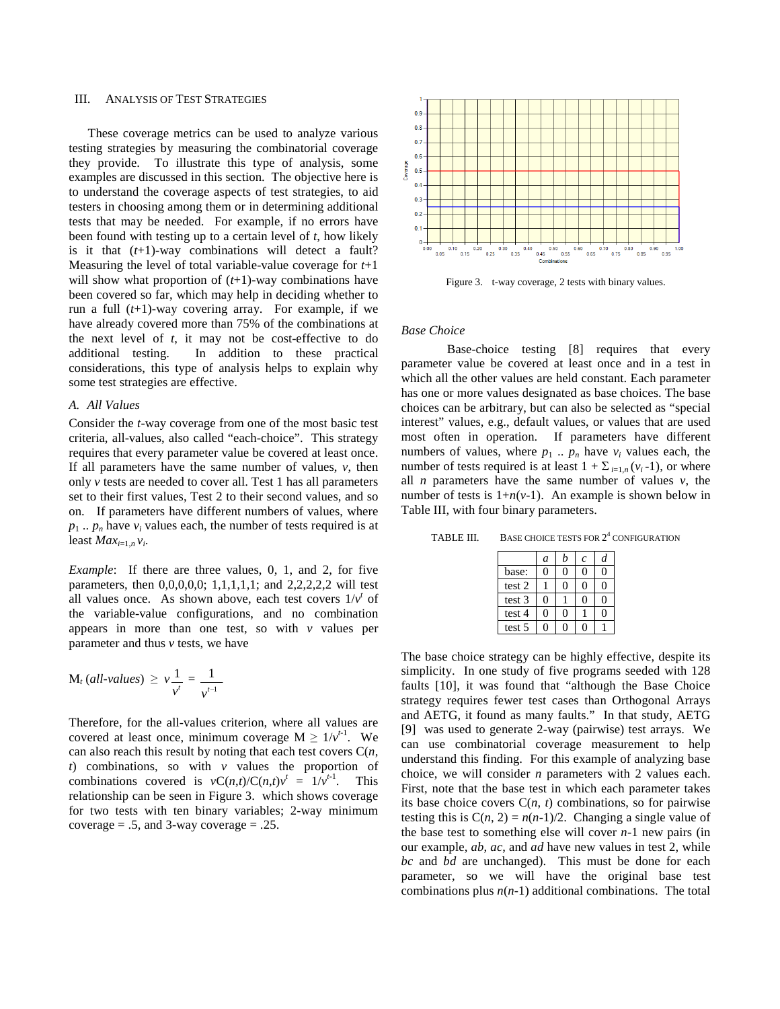#### III. ANALYSIS OF TEST STRATEGIES

 testing strategies by measuring the combinatorial coverage they provide. To illustrate this type of analysis, some examples are discussed in this section. The objective here is to understand the coverage aspects of test strategies, to aid testers in choosing among them or in determining additional tests that may be needed. For example, if no errors have been found with testing up to a certain level of *t*, how likely is it that (*t*+1)-way combinations will detect a fault? Measuring the level of total variable-value coverage for *t*+1 will show what proportion of (*t*+1)-way combinations have been covered so far, which may help in deciding whether to run a full (*t*+1)-way covering array. For example, if we have already covered more than 75% of the combinations at the next level of  $t$ , it may not be cost-effective to do additional testing. considerations, this type of analysis helps to explain why some test strategies are effective. These coverage metrics can be used to analyze various In addition to these practical

#### *A. All Values*

 Consider the *t*-way coverage from one of the most basic test criteria, all-values, also called "each-choice". This strategy requires that every parameter value be covered at least once. If all parameters have the same number of values, *v*, then only *v* tests are needed to cover all. Test 1 has all parameters set to their first values, Test 2 to their second values, and so on. If parameters have different numbers of values, where  $p_1 \ldots p_n$  have  $v_i$  values each, the number of tests required is at least *Maxi*=1,*n vi*.

 *Example*: If there are three values, 0, 1, and 2, for five parameters, then  $0,0,0,0,0; 1,1,1,1,1;$  and  $2,2,2,2,2$  will test all values once. As shown above, each test covers  $1/v^t$  of the variable-value configurations, and no combination appears in more than one test, so with *v* values per parameter and thus *v* tests, we have

$$
M_t \left(\text{all-values}\right) \geq v \frac{1}{v'} = \frac{1}{v'^{-1}}
$$

Therefore, for the all-values criterion, where all values are Therefore, for the all-values criterion, where all values are covered at least once, minimum coverage  $M \ge 1/v^{t-1}$ . We can also reach this result by noting that each test covers C(*n*, t) combinations, so with  $\nu$  values the proportion of *t*) combinations, so with *v* values the proportion of combinations covered is  $vC(n,t)/C(n,t)v' = 1/v^{t-1}$ . This relationship can be seen in Figure 3. which shows coverage for two tests with ten binary variables; 2-way minimum coverage  $= .5$ , and 3-way coverage  $= .25$ .



Figure 3. t-way coverage, 2 tests with binary values.

#### *Base Choice*

 Base-choice testing [8] requires that every parameter value be covered at least once and in a test in which all the other values are held constant. Each parameter has one or more values designated as base choices. The base choices can be arbitrary, but can also be selected as "special interest" values, e.g., default values, or values that are used most often in operation. If parameters have different numbers of values, where  $p_1 \ldots p_n$  have  $v_i$  values each, the number of tests required is at least  $1 + \sum_{i=1,n} (v_i - 1)$ , or where all *n* parameters have the same number of values *v*, the number of tests is  $1+n(v-1)$ . An example is shown below in Table III, with four binary parameters.

|        | a  | h | $\mathfrak c$ | d |
|--------|----|---|---------------|---|
| base:  | 0  | 0 | በ             |   |
| test 2 |    | O | 0             | 0 |
| test 3 | ۰, |   |               |   |
| test 4 | 0  | 0 |               |   |
| test 5 |    |   |               |   |

 The base choice strategy can be highly effective, despite its simplicity. In one study of five programs seeded with 128 faults [10], it was found that "although the Base Choice strategy requires fewer test cases than Orthogonal Arrays and AETG, it found as many faults." In that study, AETG [9] was used to generate 2-way (pairwise) test arrays. We can use combinatorial coverage measurement to help understand this finding. For this example of analyzing base choice, we will consider *n* parameters with 2 values each. First, note that the base test in which each parameter takes its base choice covers  $C(n, t)$  combinations, so for pairwise testing this is  $C(n, 2) = n(n-1)/2$ . Changing a single value of the base test to something else will cover *n*-1 new pairs (in our example, *ab*, *ac*, and *ad* have new values in test 2, while *bc* and *bd* are unchanged). This must be done for each parameter, so we will have the original base test combinations plus  $n(n-1)$  additional combinations. The total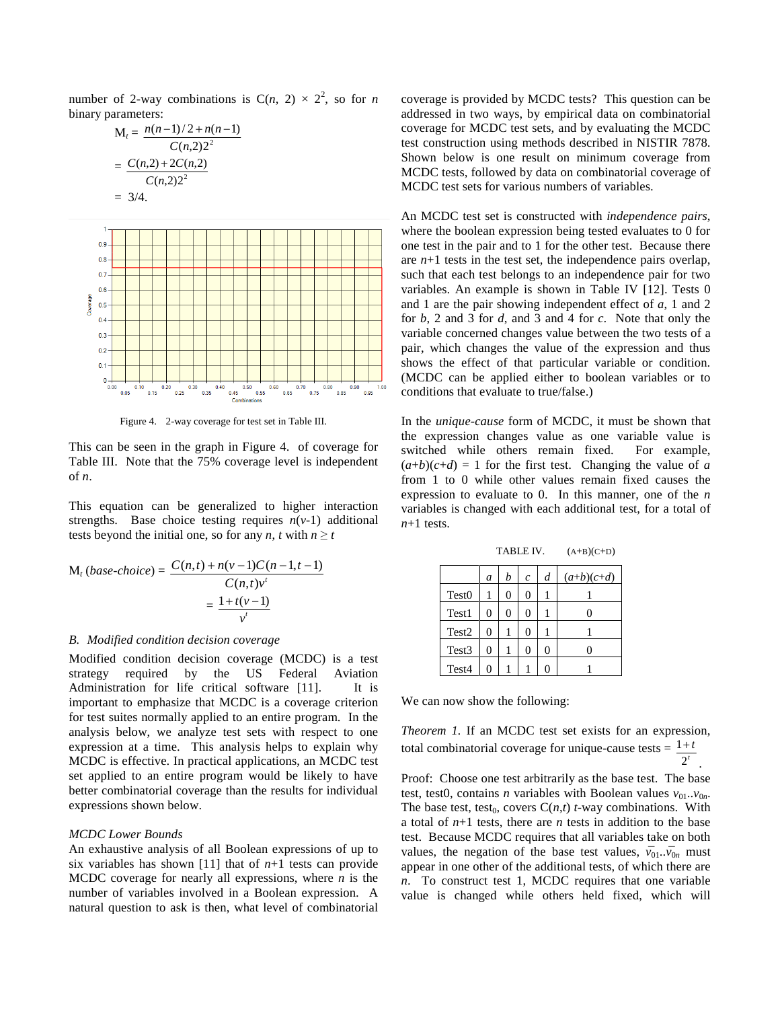number of 2-way combinations is  $C(n, 2) \times 2^2$ , so for *n* binary parameters:





Figure 4. 2-way coverage for test set in Table III.

 This can be seen in the graph in Figure 4. of coverage for Table III. Note that the 75% coverage level is independent of *n*.

 This equation can be generalized to higher interaction strengths. Base choice testing requires  $n(v-1)$  additional tests beyond the initial one, so for any *n*, *t* with  $n \ge t$ 

$$
M_t \text{ (base-choice)} = \frac{C(n,t) + n(v-1)C(n-1,t-1)}{C(n,t)v^t}
$$

$$
= \frac{1 + t(v-1)}{v^t}
$$

#### *B. Modified condition decision coverage*

 Modified condition decision coverage (MCDC) is a test strategy Administration for life critical software [11]. It is important to emphasize that MCDC is a coverage criterion for test suites normally applied to an entire program. In the analysis below, we analyze test sets with respect to one expression at a time. This analysis helps to explain why MCDC is effective. In practical applications, an MCDC test set applied to an entire program would be likely to have better combinatorial coverage than the results for individual expressions shown below. required by the US Federal Aviation

#### *MCDC Lower Bounds*

 An exhaustive analysis of all Boolean expressions of up to six variables has shown [11] that of *n*+1 tests can provide MCDC coverage for nearly all expressions, where *n* is the number of variables involved in a Boolean expression. A natural question to ask is then, what level of combinatorial  coverage is provided by MCDC tests? This question can be addressed in two ways, by empirical data on combinatorial coverage for MCDC test sets, and by evaluating the MCDC test construction using methods described in NISTIR 7878. Shown below is one result on minimum coverage from MCDC tests, followed by data on combinatorial coverage of MCDC test sets for various numbers of variables.

 An MCDC test set is constructed with *independence pairs*, where the boolean expression being tested evaluates to 0 for one test in the pair and to 1 for the other test. Because there are *n*+1 tests in the test set, the independence pairs overlap, such that each test belongs to an independence pair for two variables. An example is shown in Table IV [12]. Tests 0 and 1 are the pair showing independent effect of *a*, 1 and 2 for *b*, 2 and 3 for *d*, and 3 and 4 for *c*. Note that only the variable concerned changes value between the two tests of a pair, which changes the value of the expression and thus shows the effect of that particular variable or condition. (MCDC can be applied either to boolean variables or to conditions that evaluate to true/false.)

 In the *unique-cause* form of MCDC, it must be shown that the expression changes value as one variable value is switched while others remain fixed. For example,  $(a+b)(c+d) = 1$  for the first test. Changing the value of *a*  from 1 to 0 while other values remain fixed causes the expression to evaluate to 0. In this manner, one of the *n*  variables is changed with each additional test, for a total of *n*+1 tests.

TABLE IV.  $(A+B)(C+D)$ 

|                   | a        | h | $\mathcal{C}_{0}$ | $\boldsymbol{d}$ | $(a+b)(c+d)$ |
|-------------------|----------|---|-------------------|------------------|--------------|
| Test0             |          | 0 | 0                 |                  |              |
| Test1             | 0        | 0 | 0                 |                  |              |
| Test <sub>2</sub> | $\theta$ |   | 0                 |                  |              |
| Test <sub>3</sub> | $\theta$ |   | 0                 | 0                | 0            |
| Test4             |          |   |                   |                  |              |

We can now show the following:

 *Theorem 1.* If an MCDC test set exists for an expression, total combinatorial coverage for unique-cause tests  $=$   $\frac{1+t}{1-t}$  $2<sup>t</sup>$ .

 Proof: Choose one test arbitrarily as the base test. The base test, test0, contains *n* variables with Boolean values  $v_{01}...v_{0n}$ . The base test, test<sub>0</sub>, covers  $C(n,t)$  *t*-way combinations. With a total of *n*+1 tests, there are *n* tests in addition to the base test. Because MCDC requires that all variables take on both values, the negation of the base test values,  $v_{01} \dots v_{0n}$  must appear in one other of the additional tests, of which there are *n*. To construct test 1, MCDC requires that one variable value is changed while others held fixed, which will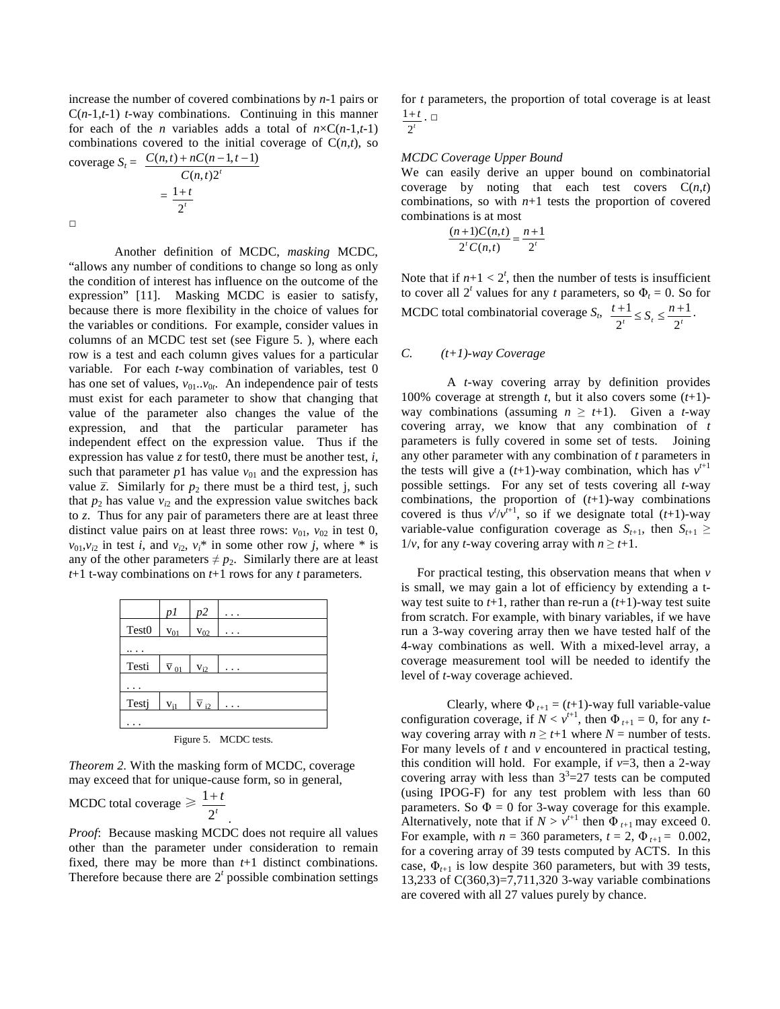increase the number of covered combinations by *n*-1 pairs or C(*n*-1,*t*-1) *t*-way combinations. Continuing in this manner for each of the *n* variables adds a total of  $n \times C(n-1,t-1)$ combinations covered to the initial coverage of  $C(n,t)$ , so

$$
\text{coverage } S_t = \frac{C(n, t) + nC(n-1, t-1)}{C(n, t)2^t}
$$
\n
$$
= \frac{1+t}{2^t}
$$

 $\Box$ 

 Another definition of MCDC, *masking* MCDC, "allows any number of conditions to change so long as only the condition of interest has influence on the outcome of the expression" [11]. Masking MCDC is easier to satisfy, because there is more flexibility in the choice of values for the variables or conditions. For example, consider values in columns of an MCDC test set (see Figure 5. ), where each row is a test and each column gives values for a particular variable. For each *t*-way combination of variables, test 0 has one set of values,  $v_{01} \dots v_{0t}$ . An independence pair of tests must exist for each parameter to show that changing that value of the parameter also changes the value of the expression, and that the particular parameter has independent effect on the expression value. Thus if the expression has value *z* for test0, there must be another test, *i*, such that parameter  $p1$  has value  $v_{01}$  and the expression has value  $\overline{z}$ . Similarly for  $p_2$  there must be a third test, j, such that  $p_2$  has value  $v_{i2}$  and the expression value switches back to *z*. Thus for any pair of parameters there are at least three distinct value pairs on at least three rows:  $v_{01}$ ,  $v_{02}$  in test 0,  $v_{01}, v_{i2}$  in test *i*, and  $v_{i2}, v_i^*$  in some other row *j*, where \* is any of the other parameters  $\neq p_2$ . Similarly there are at least *t*+1 t-way combinations on *t*+1 rows for any *t* parameters.



 *Theorem 2.* With the masking form of MCDC, coverage may exceed that for unique-cause form, so in general,

 $\text{MCDC}$  total coverage  $\geq \frac{1+t}{t}$ 2*t*  .

 *Proof*: Because masking MCDC does not require all values other than the parameter under consideration to remain fixed, there may be more than *t*+1 distinct combinations. Therefore because there are  $2<sup>t</sup>$  possible combination settings  for *t* parameters, the proportion of total coverage is at least  $\frac{1+t}{1}$ .  $\Box$ 

$$
2^t
$$

### *MCDC Coverage Upper Bound*

 We can easily derive an upper bound on combinatorial coverage by noting that each test covers  $C(n,t)$ combinations, so with  $n+1$  tests the proportion of covered combinations is at most

$$
\frac{(n+1)C(n,t)}{2^t C(n,t)} = \frac{n+1}{2^t}
$$

Note that if  $n+1 < 2^t$ , then the number of tests is insufficient to cover all  $2^t$  values for any *t* parameters, so  $\Phi_t = 0$ . So for MCDC total combinatorial coverage  $S_t$ ,  $\frac{t+1}{2^t} \leq S_t \leq \frac{n+1}{2^t}$ .

#### *C. (t+1)-way Coverage*

 A *t*-way covering array by definition provides 100% coverage at strength *t*, but it also covers some (*t*+1) way combinations (assuming  $n \geq t+1$ ). Given a *t*-way covering array, we know that any combination of *t*  parameters is fully covered in some set of tests. Joining any other parameter with any combination of *t* parameters in the tests will give a  $(t+1)$ -way combination, which has  $v^{t+1}$  possible settings. For any set of tests covering all *t*-way combinations, the proportion of (*t*+1)-way combinations covered is thus  $v^t/v^{t+1}$ , so if we designate total  $(t+1)$ -way variable-value configuration coverage as  $S_{t+1}$ , then  $S_{t+1} \geq$ 1/*v*, for any *t*-way covering array with  $n \ge t+1$ .

 is small, we may gain a lot of efficiency by extending a tway test suite to  $t+1$ , rather than re-run a  $(t+1)$ -way test suite from scratch. For example, with binary variables, if we have run a 3-way covering array then we have tested half of the 4-way combinations as well. With a mixed-level array, a coverage measurement tool will be needed to identify the level of *t*-way coverage achieved. For practical testing, this observation means that when *v* 

Clearly, where  $\Phi_{t+1} = (t+1)$ -way full variable-value configuration coverage, if  $N < v^{t+1}$ , then  $\Phi_{t+1} = 0$ , for any *t*way covering array with  $n \geq t+1$  where  $N =$  number of tests. For many levels of *t* and *v* encountered in practical testing, this condition will hold. For example, if  $v=3$ , then a 2-way covering array with less than  $3^3=27$  tests can be computed (using IPOG-F) for any test problem with less than 60 parameters. So  $\Phi = 0$  for 3-way coverage for this example. Alternatively, note that if  $N > v^{t+1}$  then  $\Phi_{t+1}$  may exceed 0. For example, with  $n = 360$  parameters,  $t = 2$ ,  $\Phi_{t+1} = 0.002$ , for a covering array of 39 tests computed by ACTS. In this case, Φ*t+*1 is low despite 360 parameters, but with 39 tests, 13,233 of C(360,3)=7,711,320 3-way variable combinations are covered with all 27 values purely by chance.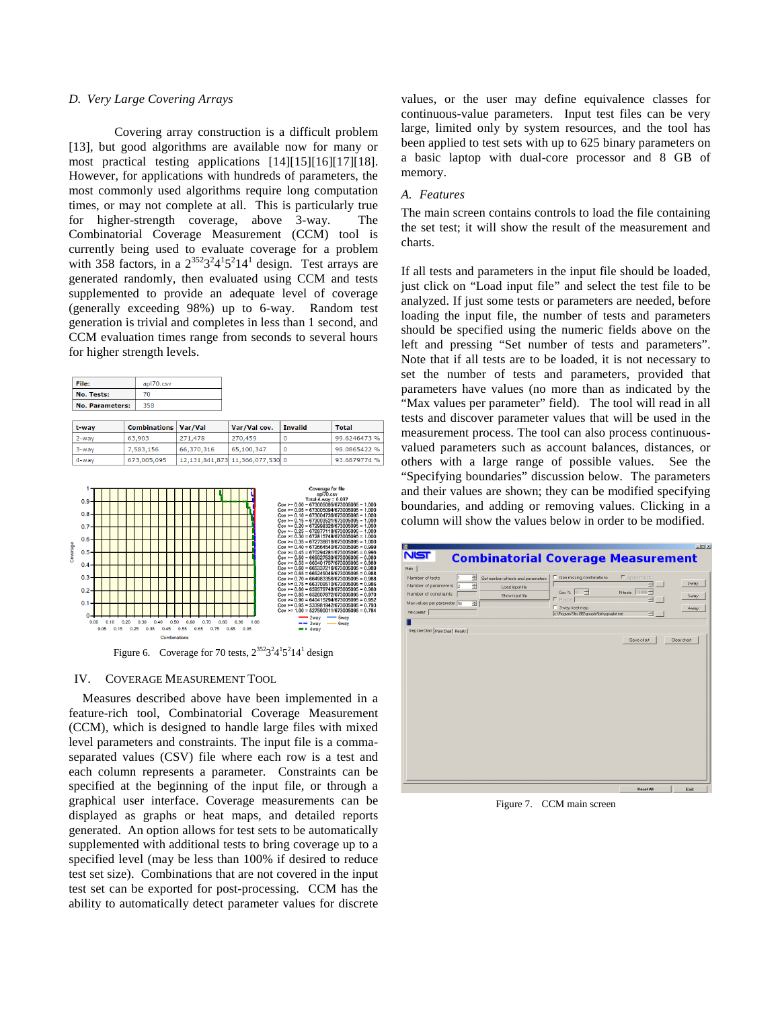#### *D. Very Large Covering Arrays*

 Covering array construction is a difficult problem [13], but good algorithms are available now for many or most practical testing applications [14][15][16][17][18]. However, for applications with hundreds of parameters, the most commonly used algorithms require long computation times, or may not complete at all. This is particularly true for higher-strength coverage, above 3-way. The Combinatorial Coverage Measurement (CCM) tool is currently being used to evaluate coverage for a problem with 358 factors, in a  $2^{352}3^24^15^214^1$  design. Test arrays are generated randomly, then evaluated using CCM and tests supplemented to provide an adequate level of coverage (generally exceeding 98%) up to 6-way. Random test generation is trivial and completes in less than 1 second, and CCM evaluation times range from seconds to several hours for higher strength levels.

| File:                  | apl70.csv |
|------------------------|-----------|
| No. Tests:             | 70        |
| <b>No. Parameters:</b> | 358       |

| t-way     | <b>Combinations   Var/Val</b> |                                 | Var/Val cov. | <b>Invalid</b> | Total        |
|-----------|-------------------------------|---------------------------------|--------------|----------------|--------------|
| $2 -$ way | 63.903                        | 271.478                         | 270.459      |                | 99.6246473 % |
| 3-way     | 7,583,156                     | 66,370,316                      | 65.100.347   |                | 98.0865422 % |
| $4 -$ way | 673,005,095                   | 12,131,841,873 11,366,077,530 0 |              |                | 93.6879774 % |



Figure 6. Coverage for 70 tests,  $2^{352}3^24^15^214^1$  design

#### IV. COVERAGE MEASUREMENT TOOL

 Measures described above have been implemented in a feature-rich tool, Combinatorial Coverage Measurement (CCM), which is designed to handle large files with mixed level parameters and constraints. The input file is a comma- separated values (CSV) file where each row is a test and each column represents a parameter. Constraints can be specified at the beginning of the input file, or through a graphical user interface. Coverage measurements can be displayed as graphs or heat maps, and detailed reports generated. An option allows for test sets to be automatically supplemented with additional tests to bring coverage up to a specified level (may be less than 100% if desired to reduce test set size). Combinations that are not covered in the input test set can be exported for post-processing. CCM has the ability to automatically detect parameter values for discrete

 values, or the user may define equivalence classes for continuous-value parameters. Input test files can be very large, limited only by system resources, and the tool has been applied to test sets with up to 625 binary parameters on a basic laptop with dual-core processor and 8 GB of memory.

#### *A. Features*

 The main screen contains controls to load the file containing the set test; it will show the result of the measurement and charts.

 If all tests and parameters in the input file should be loaded, just click on "Load input file" and select the test file to be analyzed. If just some tests or parameters are needed, before loading the input file, the number of tests and parameters should be specified using the numeric fields above on the left and pressing "Set number of tests and parameters". Note that if all tests are to be loaded, it is not necessary to set the number of tests and parameters, provided that parameters have values (no more than as indicated by the "Max values per parameter" field). The tool will read in all tests and discover parameter values that will be used in the measurement process. The tool can also process continuous- valued parameters such as account balances, distances, or others with a large range of possible values. See the "Specifying boundaries" discussion below. The parameters and their values are shown; they can be modified specifying boundaries, and adding or removing values. Clicking in a column will show the values below in order to be modified.

| æ                                                                                                                                                                                |                                                                          |                                                                                                                                 |                                                                | $L = 1$                                    |
|----------------------------------------------------------------------------------------------------------------------------------------------------------------------------------|--------------------------------------------------------------------------|---------------------------------------------------------------------------------------------------------------------------------|----------------------------------------------------------------|--------------------------------------------|
| NIST                                                                                                                                                                             | <b>Combinatorial Coverage Measurement</b>                                |                                                                                                                                 |                                                                |                                            |
| Main                                                                                                                                                                             |                                                                          |                                                                                                                                 |                                                                |                                            |
| 盖<br>Number of tests<br>h<br>공<br>Number of parameters 2<br>Number of constraints<br>Max values per parameter 50<br>검<br>File Loaded:<br>Step Line Chart   Point Chart   Results | Set number of tests and parameters<br>Load input file<br>Show input file | F Gen missing combinations<br>$\cos \theta =$<br>F Report<br>□ 3-way heat map<br>c:\Program Files (86)\gnuplot\bin\pgnuplot.exe | E Append tests<br>픉<br>N tests 10000 -<br>콬<br>田<br>Save chart | $2-way$<br>$3-wew$<br>4-way<br>Clear chart |
|                                                                                                                                                                                  |                                                                          |                                                                                                                                 |                                                                |                                            |
|                                                                                                                                                                                  |                                                                          |                                                                                                                                 | <b>Beset All</b>                                               | Exit                                       |

Figure 7. CCM main screen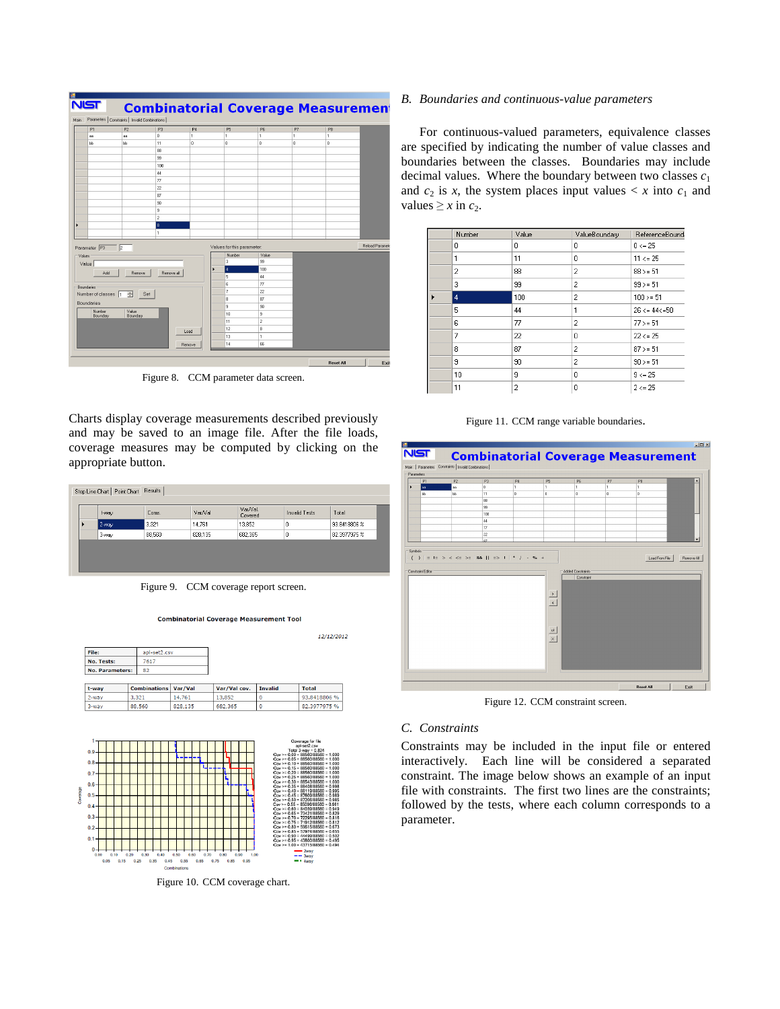

Figure 8. CCM parameter data screen.

 Charts display coverage measurements described previously and may be saved to an image file. After the file loads, coverage measures may be computed by clicking on the appropriate button.

| t-way | Coms.  | Var/Val | Var/Val.<br>Covered | <b>Invalid Tests</b> | Total        |
|-------|--------|---------|---------------------|----------------------|--------------|
| 2-way | 3.321  | 14.761  | 13,852              | $\mathbf 0$          | 93.8418806 % |
| 3-way | 88,560 | 828,135 | 682,365             | 0                    | 82.3977975 % |

Figure 9. CCM coverage report screen.

**Combinatorial Coverage Measurement Tool** 

|                        |                     |         |              |                | 12/12/2012   |
|------------------------|---------------------|---------|--------------|----------------|--------------|
| File:                  | apl-set2.csv        |         |              |                |              |
| <b>No. Tests:</b>      | 7617                |         |              |                |              |
| <b>No. Parameters:</b> | 82                  |         |              |                |              |
|                        |                     |         |              |                |              |
| t-way                  | <b>Combinations</b> | Var/Val | Var/Val cov. | <b>Invalid</b> | <b>Total</b> |
| $2-Wav$                | 3.321               | 14,761  | 13.852       |                | 93.8418806 % |
| $3-Wav$                | 88,560              | 828,135 | 682,365      |                | 82.3977975 % |



Figure 10. CCM coverage chart.

#### *B. Boundaries and continuous-value parameters*

 For continuous-valued parameters, equivalence classes are specified by indicating the number of value classes and boundaries between the classes. Boundaries may include decimal values. Where the boundary between two classes *c*<sup>1</sup> and  $c_2$  is *x*, the system places input values  $\lt x$  into  $c_1$  and values  $\geq x$  in  $c_2$ .

| Number | Value | ValueBoundary  | ReferenceBound-    |
|--------|-------|----------------|--------------------|
| 0      | 0     | 0              | $0 \le 25$         |
| 1      | 11    | 0              | $11 \le 25$        |
| 2      | 88    | 2              | 88 > 51            |
| 3      | 99    | 2              | 99 > 51            |
| 4      | 100   | $\overline{c}$ | 100 > 51           |
| 5      | 44    | 1              | $26 \le 44 \le 50$ |
| 6      | 77    | $\overline{2}$ | 77 > 51            |
| 7      | 22    | Ū              | $22 \le 25$        |
| 8      | 87    | $\overline{c}$ | 87 > 51            |
| 9      | 90    | 2              | 90 > 51            |
| 10     | 9     | n              | $9 \le 25$         |
| 11     | 2     | 0              | $2 \le 25$         |

Figure 11. CCM range variable boundaries.



Figure 12. CCM constraint screen.

### *C. Constraints*

 Constraints may be included in the input file or entered interactively. Each line will be considered a separated constraint. The image below shows an example of an input file with constraints. The first two lines are the constraints; followed by the tests, where each column corresponds to a parameter.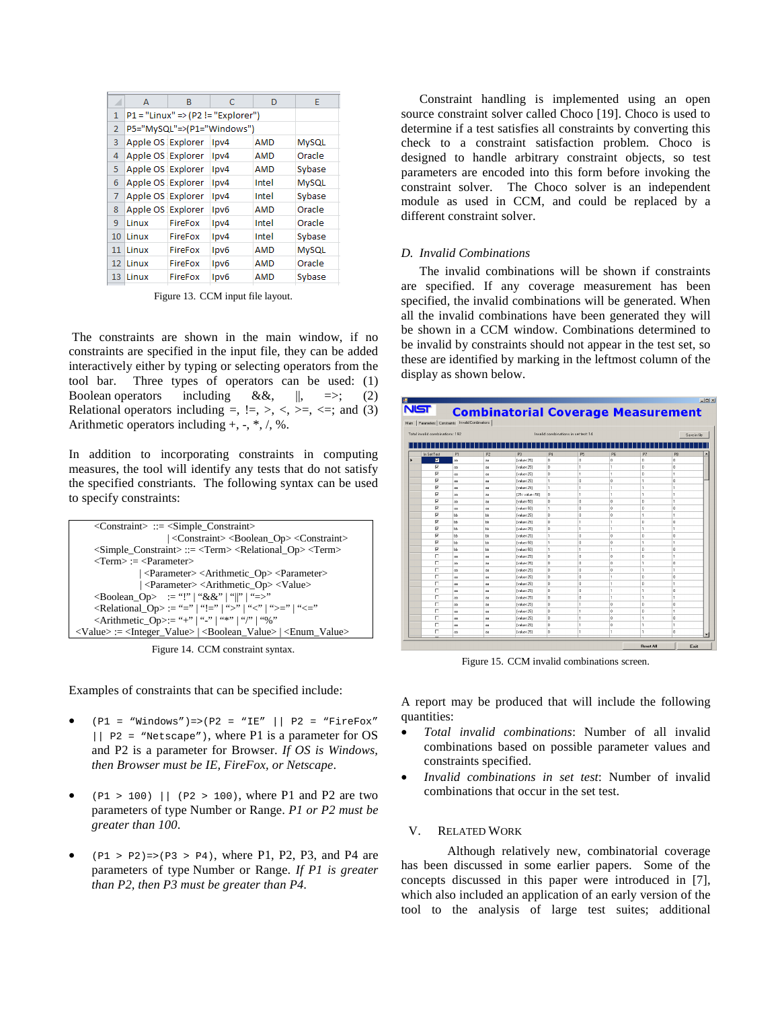|                | А                 | в                                    | с                          | D          | E            |  |
|----------------|-------------------|--------------------------------------|----------------------------|------------|--------------|--|
| $\mathbf{1}$   |                   | $P1 = "Linux" => (P2 != "Explore"')$ |                            |            |              |  |
| $\overline{2}$ |                   |                                      | P5="MySQL"=>(P1="Windows") |            |              |  |
| 3              | Apple OS Explorer |                                      | lpv4                       | AMD        | <b>MySQL</b> |  |
| 4              | Apple OS Explorer |                                      | lpv4                       | AMD        | Oracle       |  |
| 5              | Apple OS Explorer |                                      | lpv4                       | <b>AMD</b> | Sybase       |  |
| 6              | Apple OS Explorer |                                      | lpv4                       | Intel      | <b>MySQL</b> |  |
| 7              | Apple OS Explorer |                                      | lpv4                       | Intel      | Sybase       |  |
| 8              | Apple OS Explorer |                                      | Ipv6                       | AMD        | Oracle       |  |
| 9              | Linux             | FireFox                              | lpv4                       | Intel      | Oracle       |  |
| 10             | Linux             | FireFox                              | Ipv4                       | Intel      | Sybase       |  |
| 11             | Linux             | FireFox                              | Ipv6                       | AMD        | <b>MySQL</b> |  |
| 12             | Linux             | FireFox                              | Ipv6                       | AMD        | Oracle       |  |
| 13             | Linux             | FireFox                              | Ipv6                       | AMD        | Sybase       |  |

Figure 13. CCM input file layout.

 The constraints are shown in the main window, if no constraints are specified in the input file, they can be added interactively either by typing or selecting operators from the tool bar. Boolean operators Relational operators including  $=$ ,  $!=$ ,  $\ge$ ,  $\lt$ ,  $\ge$  $=$ ,  $\lt$  $=$ ; and (3) Arithmetic operators including +, -, \*, /, %. Three types of operators can be used:  $(1)$ including &&,  $||, \implies$ ; (2)

 In addition to incorporating constraints in computing measures, the tool will identify any tests that do not satisfy the specified constriants. The following syntax can be used to specify constraints:

| $\langle$ Constraint $\rangle$ ::= $\langle$ Simple Constraint $\rangle$                                                                                |
|---------------------------------------------------------------------------------------------------------------------------------------------------------|
| <constraint> <boolean_op> <constraint></constraint></boolean_op></constraint>                                                                           |
| $\leq$ Simple_Constraint> ::= $\leq$ Term> $\leq$ Relational_Op> $\leq$ Term>                                                                           |
| $\langle Term \rangle := \langle Parameter \rangle$                                                                                                     |
| <parameter> <arithmetic op=""> <parameter></parameter></arithmetic></parameter>                                                                         |
| <parameter> <arithmetic op=""> <value></value></arithmetic></parameter>                                                                                 |
| <boolean op=""> := "!"   "&amp;&amp;"   "  "   "=&gt;"</boolean>                                                                                        |
| <relational op=""> := "="   "!="   "&gt;"   "&lt;"   "&gt;="   "&lt;="</relational>                                                                     |
| <arithmetic op="">:= "+"   "-"   "*"   "/"   "%"</arithmetic>                                                                                           |
| $\langle \text{Value} \rangle$ := $\langle \text{Integer Value} \rangle$   $\langle \text{Boolean Value} \rangle$   $\langle \text{Enum Value} \rangle$ |
|                                                                                                                                                         |

Figure 14. CCM constraint syntax.

Examples of constraints that can be specified include:

- $(PI = "Windows") = > (P2 = "IE" || P2 = "FireFox"$  || P2 = "Netscape"), where P1 is a parameter for OS and P2 is a parameter for Browser. *If OS is Windows, then Browser must be IE, FireFox, or Netscape*.
- ( $P1 > 100$ ) || ( $P2 > 100$ ), where P1 and P2 are two parameters of type Number or Range. *P1 or P2 must be greater than 100*.
- $(P1 > P2) = > (P3 > P4)$ , where P1, P2, P3, and P4 are parameters of type Number or Range. *If P1 is greater than P2, then P3 must be greater than P4.*

 Constraint handling is implemented using an open source constraint solver called Choco [19]. Choco is used to determine if a test satisfies all constraints by converting this check to a constraint satisfaction problem. Choco is designed to handle arbitrary constraint objects, so test parameters are encoded into this form before invoking the constraint solver. The Choco solver is an independent module as used in CCM, and could be replaced by a different constraint solver.

## *D. Invalid Combinations*

 The invalid combinations will be shown if constraints are specified. If any coverage measurement has been specified, the invalid combinations will be generated. When all the invalid combinations have been generated they will be shown in a CCM window. Combinations determined to be invalid by constraints should not appear in the test set, so these are identified by marking in the leftmost column of the display as shown below.

|                                                                        | Parameters   Constraints Invalid Combinations |                |                 |                |                |                |                |                |
|------------------------------------------------------------------------|-----------------------------------------------|----------------|-----------------|----------------|----------------|----------------|----------------|----------------|
| Total invalid combinations: 192<br>Invalid combinations in set test 14 |                                               |                |                 |                |                |                | Save in file   |                |
|                                                                        |                                               |                |                 |                |                |                |                |                |
| In Set Test                                                            | P <sub>1</sub>                                | P <sub>2</sub> | P <sub>3</sub>  | P4             | P <sub>5</sub> | P <sub>6</sub> | P <sub>7</sub> | P <sub>8</sub> |
| $\blacksquare$                                                         | àà                                            | aa             | [valuec25]      | $\mathbf{0}$   | $\theta$       | $\mathbf{0}$   | $\theta$       | o              |
| ₽                                                                      | őð.                                           | aa             | Frake: 251      | 0              | f,             | 1              | $\theta$       | o              |
| ₽                                                                      | àà                                            | aa             | [value(25]      | o              | 1              | $\mathbf{1}$   | f)             | $\overline{1}$ |
| ₽                                                                      | àà                                            | aa             | [value<25]      | $\mathbf{1}$   | ١o             | $\mathbf{0}$   | f,             | n              |
| ₽                                                                      | 6à                                            | aa             | [value(25]      | 1              | ٠              | 1              | 1              | h.             |
| м                                                                      | aa                                            | aa             | [25c value <50] | o              | 1              | $\mathbf{1}$   | 1              | $\mathbf{1}$   |
| M                                                                      | ðà                                            | aa             | fyalue>501      | 0              | l o            | 0              | $\theta$       | $\mathbf{1}$   |
| ₽                                                                      | $^{55}$                                       | aa             | Tvalue>501      | $\mathbf{1}$   | 'n             | n              | $\Omega$       | n              |
| И                                                                      | bb                                            | bb             | [value(25]      | o              | ۱o             | o              | f,             | $\mathbf{1}$   |
| M                                                                      | bb                                            | bb             | [value(25]      | n              | 1              | $\mathbf{1}$   | $\Omega$       | n              |
| М                                                                      | Ы                                             | Ьb             | [value(25]      | 0              | 1              | $\mathbf{1}$   | 1              | $\overline{1}$ |
| E                                                                      | bb                                            | bb             | [value:25]      | $\mathbf{1}$   | ١o             | 0              | $\theta$       | 0              |
| ₽                                                                      | bb                                            | bb             | Tyakao 501      | $\mathbf{1}$   | ١n             | n              | 1.             | $\mathbf{1}$   |
| М                                                                      | Ы                                             | bb             | [value>50]      | $\overline{1}$ | 1              | $\mathbf{1}$   | n.             | $\theta$       |
| п                                                                      | àà                                            | aa             | [value<25]      | o              | ١o             | $\mathbf{0}$   | $\theta$       | $\mathbf{1}$   |
| п                                                                      | őð.                                           | aa             | [value(25]      | n              | ١n             | o              | ٠              | n              |
| п                                                                      | åà                                            | aa             | [value(25]      | o              | ۱o             | $\theta$       | 1              | $\mathbf{1}$   |
| п                                                                      | ðà                                            | aa             | fyalue<251      | Ü.             | ١n             | $\mathbf{1}$   | $\theta$       | n              |
| п                                                                      | 6à                                            | aa             | [value(25]      | n              | 'n             | $\mathbf{1}$   | $\Omega$       | h.             |
| п                                                                      | àà                                            | aa             | [value(25]      | o              | ۱o             | $\mathbf{1}$   | f,             | 0              |
| п                                                                      | ðà                                            | aa             | [value(25]      | n              | ١n             | $\mathbf{1}$   | ٠              | $\mathbf{1}$   |
| г                                                                      | 6à                                            | aa             | [value(25]      | o              | 1              | $\theta$       | $\mathbf{0}$   | o              |
| г                                                                      | Ah                                            | aa             | [value<25]      | $\mathfrak o$  | 1              | $\mathfrak o$  | $\theta$       | $\mathbf{1}$   |
| п                                                                      | ðð.                                           | aa             | Frake: 251      | n              | ٦              | n              | f,             | n              |
| г                                                                      | 6à                                            | aa             | [value(25]      | 0              | 1              | 0              | 1              | $\overline{1}$ |
| п                                                                      | àà                                            | aa             | [value<25]      | $\mathbf{0}$   | ۶              | $\mathbf{1}$   | f,             | o              |

Figure 15. CCM invalid combinations screen.

 A report may be produced that will include the following quantities:

- • *Total invalid combinations*: Number of all invalid combinations based on possible parameter values and constraints specified.
- • *Invalid combinations in set test*: Number of invalid combinations that occur in the set test.

#### V. RELATED WORK

 has been discussed in some earlier papers. Some of the concepts discussed in this paper were introduced in [7], which also included an application of an early version of the tool to the analysis of large test suites; additional Although relatively new, combinatorial coverage